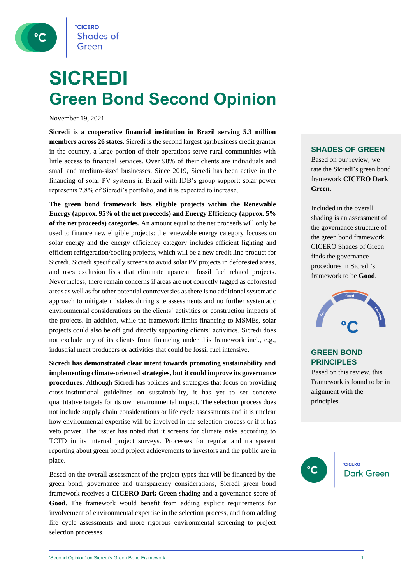**CICERO Shades of** Green

## **SICREDI Green Bond Second Opinion**

November 19, 2021

**Sicredi is a cooperative financial institution in Brazil serving 5.3 million members across 26 states**. Sicredi is the second largest agribusiness credit grantor in the country, a large portion of their operations serve rural communities with little access to financial services. Over 98% of their clients are individuals and small and medium-sized businesses. Since 2019, Sicredi has been active in the financing of solar PV systems in Brazil with IDB's group support; solar power represents 2.8% of Sicredi's portfolio, and it is expected to increase.

**The green bond framework lists eligible projects within the Renewable Energy (approx. 95% of the net proceeds) and Energy Efficiency (approx. 5% of the net proceeds) categories.** An amount equal to the net proceeds will only be used to finance new eligible projects: the renewable energy category focuses on solar energy and the energy efficiency category includes efficient lighting and efficient refrigeration/cooling projects, which will be a new credit line product for Sicredi. Sicredi specifically screens to avoid solar PV projects in deforested areas, and uses exclusion lists that eliminate upstream fossil fuel related projects. Nevertheless, there remain concerns if areas are not correctly tagged as deforested areas as well as for other potential controversies as there is no additional systematic approach to mitigate mistakes during site assessments and no further systematic environmental considerations on the clients' activities or construction impacts of the projects. In addition, while the framework limits financing to MSMEs, solar projects could also be off grid directly supporting clients' activities. Sicredi does not exclude any of its clients from financing under this framework incl., e.g., industrial meat producers or activities that could be fossil fuel intensive.

**Sicredi has demonstrated clear intent towards promoting sustainability and implementing climate-oriented strategies, but it could improve its governance procedures.** Although Sicredi has policies and strategies that focus on providing cross-institutional guidelines on sustainability, it has yet to set concrete quantitative targets for its own environmental impact. The selection process does not include supply chain considerations or life cycle assessments and it is unclear how environmental expertise will be involved in the selection process or if it has veto power. The issuer has noted that it screens for climate risks according to TCFD in its internal project surveys. Processes for regular and transparent reporting about green bond project achievements to investors and the public are in place.

Based on the overall assessment of the project types that will be financed by the green bond, governance and transparency considerations, Sicredi green bond framework receives a **CICERO Dark Green** shading and a governance score of **Good**. The framework would benefit from adding explicit requirements for involvement of environmental expertise in the selection process, and from adding life cycle assessments and more rigorous environmental screening to project selection processes.

## **SHADES OF GREEN**

Based on our review, we rate the Sicredi's green bond framework **CICERO Dark Green.** 

Included in the overall shading is an assessment of the governance structure of the green bond framework. CICERO Shades of Green finds the governance procedures in Sicredi's framework to be **Good**.



## **GREEN BOND PRINCIPLES**

Based on this review, this Framework is found to be in alignment with the principles.

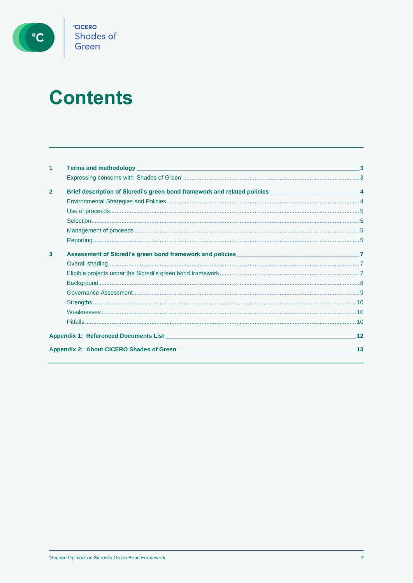

# **Contents**

| 1              | <b>Terms and methodology Contract the Contract of Contract of Contract of Contract of Contract of Contract of Contract of Contract of Contract of Contract of Contract of Contract of Contract of Contract of Contract of Cont</b> | $\mathbf{3}$ |
|----------------|------------------------------------------------------------------------------------------------------------------------------------------------------------------------------------------------------------------------------------|--------------|
|                |                                                                                                                                                                                                                                    |              |
| $\overline{2}$ | Brief description of Sicredi's green bond framework and related policies _______________________________4                                                                                                                          |              |
|                |                                                                                                                                                                                                                                    |              |
|                |                                                                                                                                                                                                                                    |              |
|                |                                                                                                                                                                                                                                    |              |
|                |                                                                                                                                                                                                                                    |              |
|                |                                                                                                                                                                                                                                    |              |
| 3              |                                                                                                                                                                                                                                    |              |
|                |                                                                                                                                                                                                                                    |              |
|                |                                                                                                                                                                                                                                    |              |
|                |                                                                                                                                                                                                                                    |              |
|                |                                                                                                                                                                                                                                    |              |
|                |                                                                                                                                                                                                                                    |              |
|                |                                                                                                                                                                                                                                    |              |
|                |                                                                                                                                                                                                                                    |              |
|                | Appendix 1: Referenced Documents List <b>Appendix 1: Reference Documents List</b>                                                                                                                                                  | 12           |
|                | Appendix 2: About CICERO Shades of Green                                                                                                                                                                                           | 13           |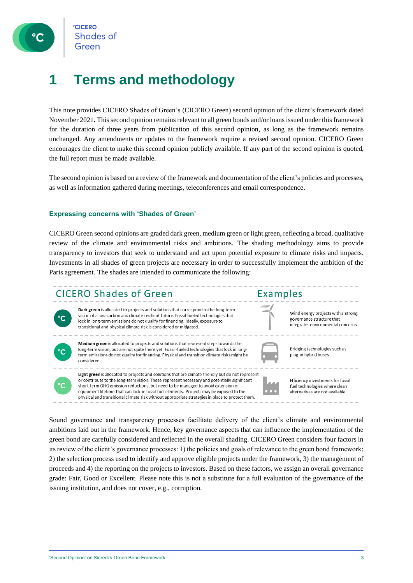

## <span id="page-2-0"></span>**1 Terms and methodology**

This note provides CICERO Shades of Green's (CICERO Green) second opinion of the client's framework dated November 2021**.** This second opinion remains relevant to all green bonds and/or loans issued under this framework for the duration of three years from publication of this second opinion, as long as the framework remains unchanged. Any amendments or updates to the framework require a revised second opinion. CICERO Green encourages the client to make this second opinion publicly available. If any part of the second opinion is quoted, the full report must be made available.

<span id="page-2-1"></span>The second opinion is based on a review of the framework and documentation of the client's policies and processes, as well as information gathered during meetings, teleconferences and email correspondence.

## **Expressing concerns with 'Shades of Green'**

CICERO Green second opinions are graded dark green, medium green or light green, reflecting a broad, qualitative review of the climate and environmental risks and ambitions. The shading methodology aims to provide transparency to investors that seek to understand and act upon potential exposure to climate risks and impacts. Investments in all shades of green projects are necessary in order to successfully implement the ambition of the Paris agreement. The shades are intended to communicate the following:

## **CICERO Shades of Green**



Dark green is allocated to projects and solutions that correspond to the long-term vision of a low carbon and climate resilient future. Fossil-fueled technologies that lock in long-term emissions do not qualify for financing. Ideally, exposure to transitional and physical climate risk is considered or mitigated.



Medium green is allocated to projects and solutions that represent steps towards the long-term vision, but are not quite there yet. Fossil-fueled technologies that lock in longterm emissions do not qualify for financing. Physical and transition climate risks might be considered.



**Examples** 

Bridging technologies such as plug-in hybrid buses

Wind energy projects with a strong

integrates environmental concerns

governance structure that



Light green is allocated to projects and solutions that are climate friendly but do not represent or contribute to the long-term vision. These represent necessary and potentially significant short-term GHG emission reductions but need to be managed to avoid extension of equipment lifetime that can lock-in fossil fuel elements. Projects may be exposed to the physical and transitional climate risk without appropriate strategies in place to protect them.

Efficiency investments for fossil fuel technologies where clean alternatives are not available

Sound governance and transparency processes facilitate delivery of the client's climate and environmental ambitions laid out in the framework. Hence, key governance aspects that can influence the implementation of the green bond are carefully considered and reflected in the overall shading. CICERO Green considers four factors in its review of the client's governance processes: 1) the policies and goals of relevance to the green bond framework; 2) the selection process used to identify and approve eligible projects under the framework, 3) the management of proceeds and 4) the reporting on the projects to investors. Based on these factors, we assign an overall governance grade: Fair, Good or Excellent. Please note this is not a substitute for a full evaluation of the governance of the issuing institution, and does not cover, e.g., corruption.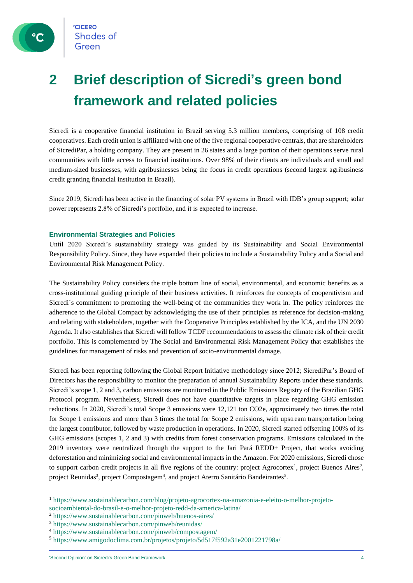

## <span id="page-3-0"></span>**2 Brief description of Sicredi's green bond framework and related policies**

Sicredi is a cooperative financial institution in Brazil serving 5.3 million members, comprising of 108 credit cooperatives. Each credit union is affiliated with one of the five regional cooperative centrals, that are shareholders of SicrediPar, a holding company. They are present in 26 states and a large portion of their operations serve rural communities with little access to financial institutions. Over 98% of their clients are individuals and small and medium-sized businesses, with agribusinesses being the focus in credit operations (second largest agribusiness credit granting financial institution in Brazil).

<span id="page-3-1"></span>Since 2019, Sicredi has been active in the financing of solar PV systems in Brazil with IDB's group support; solar power represents 2.8% of Sicredi's portfolio, and it is expected to increase.

## **Environmental Strategies and Policies**

Until 2020 Sicredi's sustainability strategy was guided by its Sustainability and Social Environmental Responsibility Policy. Since, they have expanded their policies to include a Sustainability Policy and a Social and Environmental Risk Management Policy.

The Sustainability Policy considers the triple bottom line of social, environmental, and economic benefits as a cross-institutional guiding principle of their business activities. It reinforces the concepts of cooperativism and Sicredi´s commitment to promoting the well-being of the communities they work in. The policy reinforces the adherence to the Global Compact by acknowledging the use of their principles as reference for decision-making and relating with stakeholders, together with the Cooperative Principles established by the ICA, and the UN 2030 Agenda. It also establishes that Sicredi will follow TCDF recommendations to assess the climate risk of their credit portfolio. This is complemented by The Social and Environmental Risk Management Policy that establishes the guidelines for management of risks and prevention of socio-environmental damage.

Sicredi has been reporting following the Global Report Initiative methodology since 2012; SicrediPar's Board of Directors has the responsibility to monitor the preparation of annual Sustainability Reports under these standards. Sicredi's scope 1, 2 and 3, carbon emissions are monitored in the Public Emissions Registry of the Brazilian GHG Protocol program. Nevertheless, Sicredi does not have quantitative targets in place regarding GHG emission reductions. In 2020, Sicredi's total Scope 3 emissions were 12,121 ton CO2e, approximately two times the total for Scope 1 emissions and more than 3 times the total for Scope 2 emissions, with upstream transportation being the largest contributor, followed by waste production in operations. In 2020, Sicredi started offsetting 100% of its GHG emissions (scopes 1, 2 and 3) with credits from forest conservation programs. Emissions calculated in the 2019 inventory were neutralized through the support to the Jari Pará REDD+ Project, that works avoiding deforestation and minimizing social and environmental impacts in the Amazon. For 2020 emissions, Sicredi chose to support carbon credit projects in all five regions of the country: project Agrocortex<sup>1</sup>, project Buenos Aires<sup>2</sup>, project Reunidas<sup>3</sup>, project Compostagem<sup>4</sup>, and project Aterro Sanitário Bandeirantes<sup>5</sup>.

<sup>1</sup> [https://www.sustainablecarbon.com/blog/projeto-agrocortex-na-amazonia-e-eleito-o-melhor-projeto](https://www.sustainablecarbon.com/blog/projeto-agrocortex-na-amazonia-e-eleito-o-melhor-projeto-socioambiental-do-brasil-e-o-melhor-projeto-redd-da-america-latina/)[socioambiental-do-brasil-e-o-melhor-projeto-redd-da-america-latina/](https://www.sustainablecarbon.com/blog/projeto-agrocortex-na-amazonia-e-eleito-o-melhor-projeto-socioambiental-do-brasil-e-o-melhor-projeto-redd-da-america-latina/)

<sup>2</sup> https://www.sustainablecarbon.com/pinweb/buenos-aires/

<sup>3</sup> https://www.sustainablecarbon.com/pinweb/reunidas/

<sup>4</sup> https://www.sustainablecarbon.com/pinweb/compostagem/

<sup>5</sup> https://www.amigodoclima.com.br/projetos/projeto/5d517f592a31e2001221798a/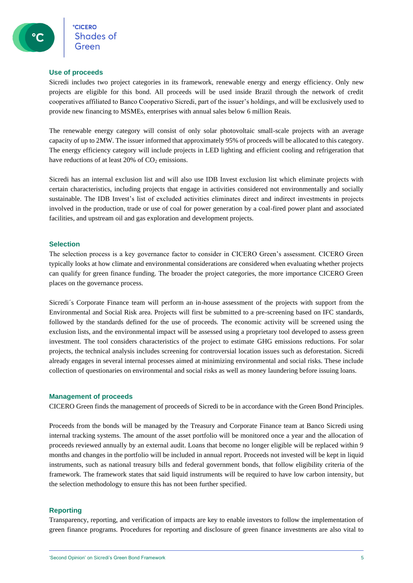## <span id="page-4-0"></span>**Use of proceeds**

Sicredi includes two project categories in its framework, renewable energy and energy efficiency. Only new projects are eligible for this bond. All proceeds will be used inside Brazil through the network of credit cooperatives affiliated to Banco Cooperativo Sicredi, part of the issuer's holdings, and will be exclusively used to provide new financing to MSMEs, enterprises with annual sales below 6 million Reais.

The renewable energy category will consist of only solar photovoltaic small-scale projects with an average capacity of up to 2MW. The issuer informed that approximately 95% of proceeds will be allocated to this category. The energy efficiency category will include projects in LED lighting and efficient cooling and refrigeration that have reductions of at least  $20\%$  of  $CO<sub>2</sub>$  emissions.

Sicredi has an internal exclusion list and will also use IDB Invest exclusion list which eliminate projects with certain characteristics, including projects that engage in activities considered not environmentally and socially sustainable. The IDB Invest's list of excluded activities eliminates direct and indirect investments in projects involved in the production, trade or use of coal for power generation by a coal-fired power plant and associated facilities, and upstream oil and gas exploration and development projects.

## <span id="page-4-1"></span>**Selection**

The selection process is a key governance factor to consider in CICERO Green's assessment. CICERO Green typically looks at how climate and environmental considerations are considered when evaluating whether projects can qualify for green finance funding. The broader the project categories, the more importance CICERO Green places on the governance process.

Sicredi´s Corporate Finance team will perform an in-house assessment of the projects with support from the Environmental and Social Risk area. Projects will first be submitted to a pre-screening based on IFC standards, followed by the standards defined for the use of proceeds. The economic activity will be screened using the exclusion lists, and the environmental impact will be assessed using a proprietary tool developed to assess green investment. The tool considers characteristics of the project to estimate GHG emissions reductions. For solar projects, the technical analysis includes screening for controversial location issues such as deforestation. Sicredi already engages in several internal processes aimed at minimizing environmental and social risks. These include collection of questionaries on environmental and social risks as well as money laundering before issuing loans.

## <span id="page-4-2"></span>**Management of proceeds**

CICERO Green finds the management of proceeds of Sicredi to be in accordance with the Green Bond Principles.

Proceeds from the bonds will be managed by the Treasury and Corporate Finance team at Banco Sicredi using internal tracking systems. The amount of the asset portfolio will be monitored once a year and the allocation of proceeds reviewed annually by an external audit. Loans that become no longer eligible will be replaced within 9 months and changes in the portfolio will be included in annual report. Proceeds not invested will be kept in liquid instruments, such as national treasury bills and federal government bonds, that follow eligibility criteria of the framework. The framework states that said liquid instruments will be required to have low carbon intensity, but the selection methodology to ensure this has not been further specified.

## <span id="page-4-3"></span>**Reporting**

Transparency, reporting, and verification of impacts are key to enable investors to follow the implementation of green finance programs. Procedures for reporting and disclosure of green finance investments are also vital to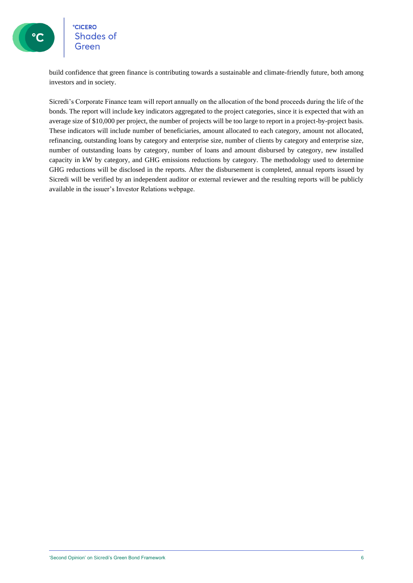

## **CICERO Shades of** Green

build confidence that green finance is contributing towards a sustainable and climate-friendly future, both among investors and in society.

Sicredi's Corporate Finance team will report annually on the allocation of the bond proceeds during the life of the bonds. The report will include key indicators aggregated to the project categories, since it is expected that with an average size of \$10,000 per project, the number of projects will be too large to report in a project-by-project basis. These indicators will include number of beneficiaries, amount allocated to each category, amount not allocated, refinancing, outstanding loans by category and enterprise size, number of clients by category and enterprise size, number of outstanding loans by category, number of loans and amount disbursed by category, new installed capacity in kW by category, and GHG emissions reductions by category. The methodology used to determine GHG reductions will be disclosed in the reports. After the disbursement is completed, annual reports issued by Sicredi will be verified by an independent auditor or external reviewer and the resulting reports will be publicly available in the issuer's Investor Relations webpage.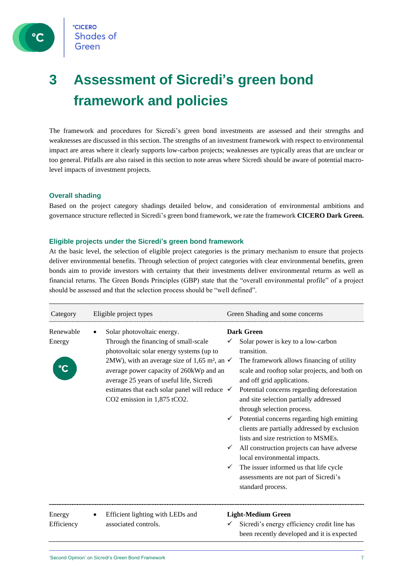

## <span id="page-6-0"></span>**3 Assessment of Sicredi's green bond framework and policies**

The framework and procedures for Sicredi's green bond investments are assessed and their strengths and weaknesses are discussed in this section. The strengths of an investment framework with respect to environmental impact are areas where it clearly supports low-carbon projects; weaknesses are typically areas that are unclear or too general. Pitfalls are also raised in this section to note areas where Sicredi should be aware of potential macrolevel impacts of investment projects.

## <span id="page-6-1"></span>**Overall shading**

<span id="page-6-2"></span>Based on the project category shadings detailed below, and consideration of environmental ambitions and governance structure reflected in Sicredi's green bond framework, we rate the framework **CICERO Dark Green.**

#### **Eligible projects under the Sicredi's green bond framework**

At the basic level, the selection of eligible project categories is the primary mechanism to ensure that projects deliver environmental benefits. Through selection of project categories with clear environmental benefits, green bonds aim to provide investors with certainty that their investments deliver environmental returns as well as financial returns. The Green Bonds Principles (GBP) state that the "overall environmental profile" of a project should be assessed and that the selection process should be "well defined".

| Category             | Eligible project types                                                                                                                                                                                                                                                                                                                                                  | Green Shading and some concerns                                                                                                                                                                                                                                                                                                                                                                                                                                                                                                                                                                                                                      |
|----------------------|-------------------------------------------------------------------------------------------------------------------------------------------------------------------------------------------------------------------------------------------------------------------------------------------------------------------------------------------------------------------------|------------------------------------------------------------------------------------------------------------------------------------------------------------------------------------------------------------------------------------------------------------------------------------------------------------------------------------------------------------------------------------------------------------------------------------------------------------------------------------------------------------------------------------------------------------------------------------------------------------------------------------------------------|
| Renewable<br>Energy  | Solar photovoltaic energy.<br>Through the financing of small-scale<br>photovoltaic solar energy systems (up to<br>2MW), with an average size of 1,65 m <sup>2</sup> , an $\checkmark$<br>average power capacity of 260kWp and an<br>average 25 years of useful life, Sicredi<br>estimates that each solar panel will reduce $\checkmark$<br>CO2 emission in 1,875 tCO2. | <b>Dark Green</b><br>Solar power is key to a low-carbon<br>transition.<br>The framework allows financing of utility<br>scale and rooftop solar projects, and both on<br>and off grid applications.<br>Potential concerns regarding deforestation<br>and site selection partially addressed<br>through selection process.<br>Potential concerns regarding high emitting<br>clients are partially addressed by exclusion<br>lists and size restriction to MSMEs.<br>All construction projects can have adverse<br>local environmental impacts.<br>The issuer informed us that life cycle<br>assessments are not part of Sicredi's<br>standard process. |
| Energy<br>Efficiency | Efficient lighting with LEDs and<br>$\bullet$<br>associated controls.                                                                                                                                                                                                                                                                                                   | <b>Light-Medium Green</b><br>Sicredi's energy efficiency credit line has<br>been recently developed and it is expected                                                                                                                                                                                                                                                                                                                                                                                                                                                                                                                               |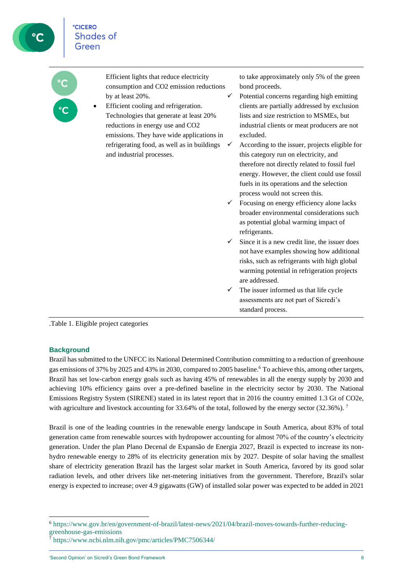| $\overline{c}$ | Efficient lights that reduce electricity<br>consumption and CO2 emission reductions<br>by at least 20%.<br>Efficient cooling and refrigeration.<br>Technologies that generate at least 20%<br>reductions in energy use and CO2<br>emissions. They have wide applications in<br>refrigerating food, as well as in buildings<br>and industrial processes. | $\checkmark$<br>$\checkmark$ | to take approximately only 5% of the green<br>bond proceeds.<br>Potential concerns regarding high emitting<br>clients are partially addressed by exclusion<br>lists and size restriction to MSMEs, but<br>industrial clients or meat producers are not<br>excluded.<br>According to the issuer, projects eligible for<br>this category run on electricity, and<br>therefore not directly related to fossil fuel<br>energy. However, the client could use fossil<br>fuels in its operations and the selection |
|----------------|---------------------------------------------------------------------------------------------------------------------------------------------------------------------------------------------------------------------------------------------------------------------------------------------------------------------------------------------------------|------------------------------|--------------------------------------------------------------------------------------------------------------------------------------------------------------------------------------------------------------------------------------------------------------------------------------------------------------------------------------------------------------------------------------------------------------------------------------------------------------------------------------------------------------|
|                |                                                                                                                                                                                                                                                                                                                                                         | $\checkmark$                 | process would not screen this.<br>Focusing on energy efficiency alone lacks<br>broader environmental considerations such<br>as potential global warming impact of<br>refrigerants.<br>Since it is a new credit line, the issuer does<br>not have examples showing how additional                                                                                                                                                                                                                             |
|                |                                                                                                                                                                                                                                                                                                                                                         | ✓                            | risks, such as refrigerants with high global<br>warming potential in refrigeration projects<br>are addressed.<br>The issuer informed us that life cycle<br>assessments are not part of Sicredi's<br>standard process.                                                                                                                                                                                                                                                                                        |

<span id="page-7-0"></span>.Table 1. Eligible project categories

## **Background**

Brazil has submitted to the UNFCC its National Determined Contribution committing to a reduction of greenhouse gas emissions of 37% by 2025 and 43% in 2030, compared to 2005 baseline. <sup>6</sup> To achieve this, among other targets, Brazil has set low-carbon energy goals such as having 45% of renewables in all the energy supply by 2030 and achieving 10% efficiency gains over a pre-defined baseline in the electricity sector by 2030. The National Emissions Registry System (SIRENE) stated in its latest report that in 2016 the country emitted 1.3 Gt of CO2e, with agriculture and livestock accounting for 33.64% of the total, followed by the energy sector (32.36%).<sup>7</sup>

Brazil is one of the leading countries in the renewable energy landscape in South America, about 83% of total generation came from renewable sources with hydropower accounting for almost 70% of the country's electricity generation. Under the plan Plano Decenal de Expansão de Energia 2027, Brazil is expected to increase its nonhydro renewable energy to 28% of its electricity generation mix by 2027. Despite of solar having the smallest share of electricity generation Brazil has the largest solar market in South America, favored by its good solar radiation levels, and other drivers like net-metering initiatives from the government. Therefore, Brazil's solar energy is expected to increase; over 4.9 gigawatts (GW) of installed solar power was expected to be added in 2021

<sup>6</sup> [https://www.gov.br/en/government-of-brazil/latest-news/2021/04/brazil-moves-towards-further-reducing](https://www.gov.br/en/government-of-brazil/latest-news/2021/04/brazil-moves-towards-further-reducing-greenhouse-gas-emissions)[greenhouse-gas-emissions](https://www.gov.br/en/government-of-brazil/latest-news/2021/04/brazil-moves-towards-further-reducing-greenhouse-gas-emissions)

<sup>7</sup> <https://www.ncbi.nlm.nih.gov/pmc/articles/PMC7506344/>

<sup>&#</sup>x27;Second Opinion' on Sicredi's Green Bond Framework 8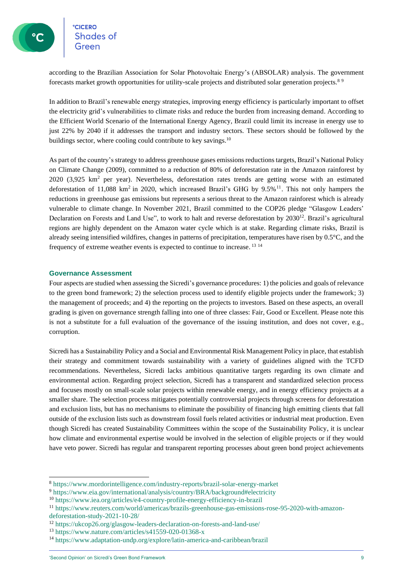**CICERO Shades of** 

according to the Brazilian Association for Solar Photovoltaic Energy's (ABSOLAR) analysis. The government forecasts market growth opportunities for utility-scale projects and distributed solar generation projects.<sup>8</sup> <sup>9</sup>

In addition to Brazil's renewable energy strategies, improving energy efficiency is particularly important to offset the electricity grid's vulnerabilities to climate risks and reduce the burden from increasing demand. According to the Efficient World Scenario of the International Energy Agency, Brazil could limit its increase in energy use to just 22% by 2040 if it addresses the transport and industry sectors. These sectors should be followed by the buildings sector, where cooling could contribute to key savings.<sup>10</sup>

As part of the country's strategy to address greenhouse gases emissions reductions targets, Brazil's National Policy on Climate Change (2009), committed to a reduction of 80% of deforestation rate in the Amazon rainforest by 2020 (3,925 km<sup>2</sup> per year). Nevertheless, deforestation rates trends are getting worse with an estimated deforestation of 11,088 km<sup>2</sup> in 2020, which increased Brazil's GHG by 9.5%<sup>11</sup>. This not only hampers the reductions in greenhouse gas emissions but represents a serious threat to the Amazon rainforest which is already vulnerable to climate change. In November 2021, Brazil committed to the COP26 pledge "Glasgow Leaders' Declaration on Forests and Land Use", to work to halt and reverse deforestation by 2030<sup>12</sup>. Brazil's agricultural regions are highly dependent on the Amazon water cycle which is at stake. Regarding climate risks, Brazil is already seeing intensified wildfires, changes in patterns of precipitation, temperatures have risen by 0.5°C, and the frequency of extreme weather events is expected to continue to increase. <sup>13 14</sup>

## <span id="page-8-0"></span>**Governance Assessment**

Four aspects are studied when assessing the Sicredi's governance procedures: 1) the policies and goals of relevance to the green bond framework; 2) the selection process used to identify eligible projects under the framework; 3) the management of proceeds; and 4) the reporting on the projects to investors. Based on these aspects, an overall grading is given on governance strength falling into one of three classes: Fair, Good or Excellent. Please note this is not a substitute for a full evaluation of the governance of the issuing institution, and does not cover, e.g., corruption.

Sicredi has a Sustainability Policy and a Social and Environmental Risk Management Policy in place, that establish their strategy and commitment towards sustainability with a variety of guidelines aligned with the TCFD recommendations. Nevertheless, Sicredi lacks ambitious quantitative targets regarding its own climate and environmental action. Regarding project selection, Sicredi has a transparent and standardized selection process and focuses mostly on small-scale solar projects within renewable energy, and in energy efficiency projects at a smaller share. The selection process mitigates potentially controversial projects through screens for deforestation and exclusion lists, but has no mechanisms to eliminate the possibility of financing high emitting clients that fall outside of the exclusion lists such as downstream fossil fuels related activities or industrial meat production. Even though Sicredi has created Sustainability Committees within the scope of the Sustainability Policy, it is unclear how climate and environmental expertise would be involved in the selection of eligible projects or if they would have veto power. Sicredi has regular and transparent reporting processes about green bond project achievements

<sup>8</sup> <https://www.mordorintelligence.com/industry-reports/brazil-solar-energy-market>

<sup>9</sup> <https://www.eia.gov/international/analysis/country/BRA/background#electricity>

<sup>10</sup> https://www.iea.org/articles/e4-country-profile-energy-efficiency-in-brazil

<sup>11</sup> https://www.reuters.com/world/americas/brazils-greenhouse-gas-emissions-rose-95-2020-with-amazon-

deforestation-study-2021-10-28/

<sup>12</sup> https://ukcop26.org/glasgow-leaders-declaration-on-forests-and-land-use/

<sup>13</sup> https://www.nature.com/articles/s41559-020-01368-x

<sup>14</sup> https://www.adaptation-undp.org/explore/latin-america-and-caribbean/brazil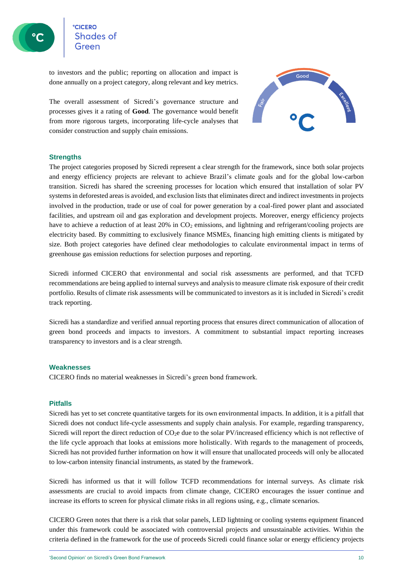**CICERO Shades of** 

to investors and the public; reporting on allocation and impact is done annually on a project category, along relevant and key metrics.

The overall assessment of Sicredi's governance structure and processes gives it a rating of **Good**. The governance would benefit from more rigorous targets, incorporating life-cycle analyses that consider construction and supply chain emissions.



## <span id="page-9-0"></span>**Strengths**

The project categories proposed by Sicredi represent a clear strength for the framework, since both solar projects and energy efficiency projects are relevant to achieve Brazil's climate goals and for the global low-carbon transition. Sicredi has shared the screening processes for location which ensured that installation of solar PV systemsin deforested areas is avoided, and exclusion lists that eliminates direct and indirect investments in projects involved in the production, trade or use of coal for power generation by a coal-fired power plant and associated facilities, and upstream oil and gas exploration and development projects. Moreover, energy efficiency projects have to achieve a reduction of at least 20% in CO<sub>2</sub> emissions, and lightning and refrigerant/cooling projects are electricity based. By committing to exclusively finance MSMEs, financing high emitting clients is mitigated by size. Both project categories have defined clear methodologies to calculate environmental impact in terms of greenhouse gas emission reductions for selection purposes and reporting.

Sicredi informed CICERO that environmental and social risk assessments are performed, and that TCFD recommendations are being applied to internal surveys and analysis to measure climate risk exposure of their credit portfolio. Results of climate risk assessments will be communicated to investors as it is included in Sicredi's credit track reporting.

Sicredi has a standardize and verified annual reporting process that ensures direct communication of allocation of green bond proceeds and impacts to investors. A commitment to substantial impact reporting increases transparency to investors and is a clear strength.

## <span id="page-9-1"></span>**Weaknesses**

<span id="page-9-2"></span>CICERO finds no material weaknesses in Sicredi's green bond framework.

## **Pitfalls**

Sicredi has yet to set concrete quantitative targets for its own environmental impacts. In addition, it is a pitfall that Sicredi does not conduct life-cycle assessments and supply chain analysis. For example, regarding transparency, Sicredi will report the direct reduction of CO<sub>2</sub>e due to the solar PV/increased efficiency which is not reflective of the life cycle approach that looks at emissions more holistically. With regards to the management of proceeds, Sicredi has not provided further information on how it will ensure that unallocated proceeds will only be allocated to low-carbon intensity financial instruments, as stated by the framework.

Sicredi has informed us that it will follow TCFD recommendations for internal surveys. As climate risk assessments are crucial to avoid impacts from climate change, CICERO encourages the issuer continue and increase its efforts to screen for physical climate risks in all regions using, e.g., climate scenarios.

CICERO Green notes that there is a risk that solar panels, LED lightning or cooling systems equipment financed under this framework could be associated with controversial projects and unsustainable activities. Within the criteria defined in the framework for the use of proceeds Sicredi could finance solar or energy efficiency projects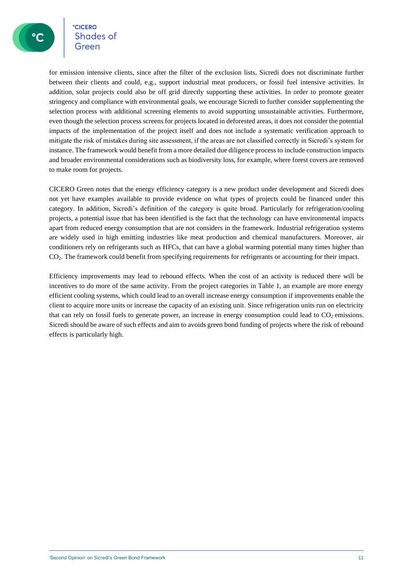**CICERO** Shades of

for emission intensive clients, since after the filter of the exclusion lists, Sicredi does not discriminate further between their clients and could, e.g., support industrial meat producers, or fossil fuel intensive activities. In addition, solar projects could also be off grid directly supporting these activities. In order to promote greater stringency and compliance with environmental goals, we encourage Sicredi to further consider supplementing the selection process with additional screening elements to avoid supporting unsustainable activities. Furthermore, even though the selection process screens for projects located in deforested areas, it does not consider the potential impacts of the implementation of the project itself and does not include a systematic verification approach to mitigate the risk of mistakes during site assessment, if the areas are not classified correctly in Sicredi's system for instance. The framework would benefit from a more detailed due diligence process to include construction impacts and broader environmental considerations such as biodiversity loss, for example, where forest covers are removed to make room for projects.

CICERO Green notes that the energy efficiency category is a new product under development and Sicredi does not yet have examples available to provide evidence on what types of projects could be financed under this category. In addition, Sicredi's definition of the category is quite broad. Particularly for refrigeration/cooling projects, a potential issue that has been identified is the fact that the technology can have environmental impacts apart from reduced energy consumption that are not considers in the framework. Industrial refrigeration systems are widely used in high emitting industries like meat production and chemical manufacturers. Moreover, air conditioners rely on refrigerants such as HFCs, that can have a global warming potential many times higher than CO2. The framework could benefit from specifying requirements for refrigerants or accounting for their impact.

Efficiency improvements may lead to rebound effects. When the cost of an activity is reduced there will be incentives to do more of the same activity. From the project categories in Table 1, an example are more energy efficient cooling systems, which could lead to an overall increase energy consumption if improvements enable the client to acquire more units or increase the capacity of an existing unit. Since refrigeration units run on electricity that can rely on fossil fuels to generate power, an increase in energy consumption could lead to  $CO<sub>2</sub>$  emissions. Sicredi should be aware of such effects and aim to avoids green bond funding of projects where the risk of rebound effects is particularly high.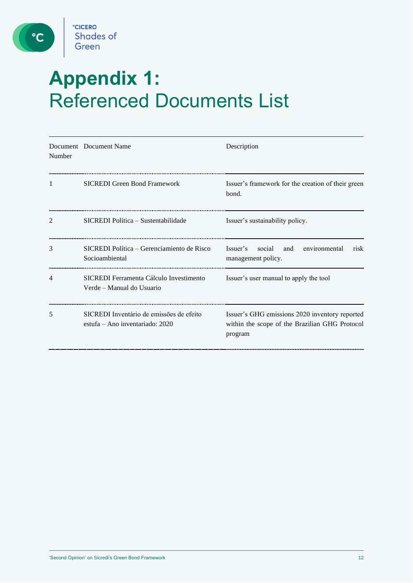

 $\circ$ 

# <span id="page-11-0"></span>**Appendix 1:**  Referenced Documents List

| Number | Document Document Name                                                        | Description                                                                                                 |
|--------|-------------------------------------------------------------------------------|-------------------------------------------------------------------------------------------------------------|
| 1      | <b>SICREDI</b> Green Bond Framework                                           | Issuer's framework for the creation of their green<br>bond.                                                 |
| 2      | SICREDI Política – Sustentabilidade                                           | Issuer's sustainability policy.                                                                             |
| 3      | SICREDI Política – Gerenciamiento de Risco<br>Socioambiental                  | social<br>environmental<br>Issuer's<br>and<br>risk<br>management policy.                                    |
| 4      | SICREDI Ferramenta Cálculo Investimento<br>Verde – Manual do Usuario          | Issuer's user manual to apply the tool                                                                      |
| 5      | SICREDI Inventário de emissões de efeito<br>estufa – Ano inventariado: $2020$ | Issuer's GHG emissions 2020 inventory reported<br>within the scope of the Brazilian GHG Protocol<br>program |